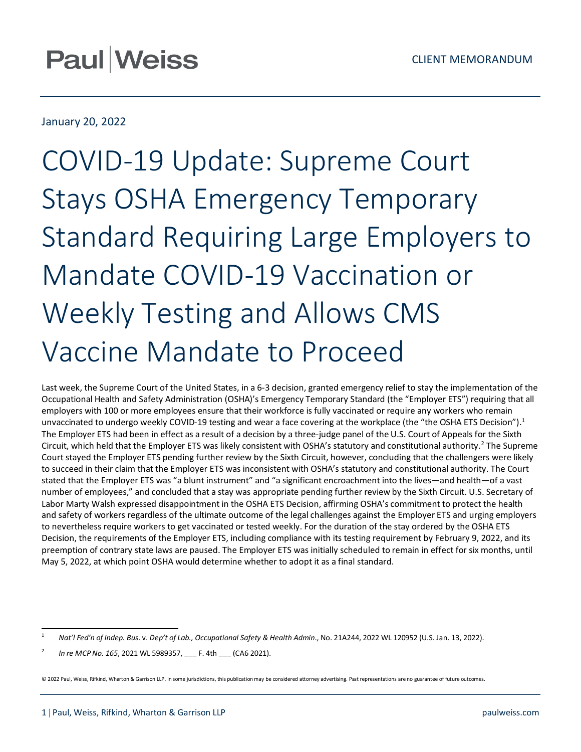# January 20, 2022

# COVID-19 Update: Supreme Court Stays OSHA Emergency Temporary Standard Requiring Large Employers to Mandate COVID-19 Vaccination or Weekly Testing and Allows CMS Vaccine Mandate to Proceed

Last week, the Supreme Court of the United States, in a 6-3 decision, granted emergency relief to stay the implementation of the Occupational Health and Safety Administration (OSHA)'s Emergency Temporary Standard (the "Employer ETS") requiring that all employers with 100 or more employees ensure that their workforce is fully vaccinated or require any workers who remain unvaccinated to undergo weekly COVID-19 testing and wear a face covering at the workplace (the "the OSHA ETS Decision").<sup>1</sup> The Employer ETS had been in effect as a result of a decision by a three-judge panel of the U.S. Court of Appeals for the Sixth Circuit, which held that the Employer ETS was likely consistent with OSHA's statutory and constitutional authority.[2](#page-0-1) The Supreme Court stayed the Employer ETS pending further review by the Sixth Circuit, however, concluding that the challengers were likely to succeed in their claim that the Employer ETS was inconsistent with OSHA's statutory and constitutional authority. The Court stated that the Employer ETS was "a blunt instrument" and "a significant encroachment into the lives—and health—of a vast number of employees," and concluded that a stay was appropriate pending further review by the Sixth Circuit. U.S. Secretary of Labor Marty Walsh expressed disappointment in the OSHA ETS Decision, affirming OSHA's commitment to protect the health and safety of workers regardless of the ultimate outcome of the legal challenges against the Employer ETS and urging employers to nevertheless require workers to get vaccinated or tested weekly. For the duration of the stay ordered by the OSHA ETS Decision, the requirements of the Employer ETS, including compliance with its testing requirement by February 9, 2022, and its preemption of contrary state laws are paused. The Employer ETS was initially scheduled to remain in effect for six months, until May 5, 2022, at which point OSHA would determine whether to adopt it as a final standard.

© 2022 Paul, Weiss, Rifkind, Wharton & Garrison LLP. In some jurisdictions, this publication may be considered attorney advertising. Past representations are no guarantee of future outcomes.

<span id="page-0-0"></span><sup>1</sup> *Nat'l Fed'n of Indep. Bus*. v. *Dep't of Lab., Occupational Safety & Health Admin*., No. 21A244, 2022 WL 120952 (U.S. Jan. 13, 2022).

<span id="page-0-1"></span><sup>2</sup> *In re MCP No. 165*, 2021 WL 5989357, \_\_\_ F. 4th \_\_\_ (CA6 2021).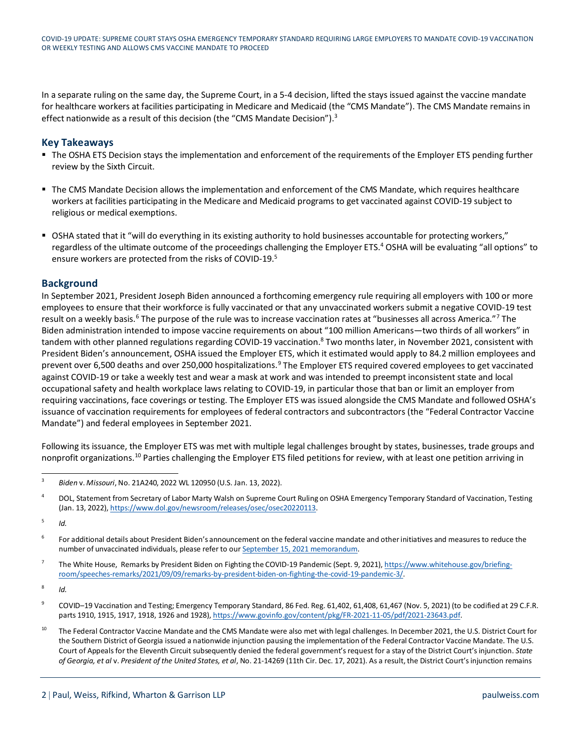In a separate ruling on the same day, the Supreme Court, in a 5-4 decision, lifted the stays issued against the vaccine mandate for healthcare workers at facilities participating in Medicare and Medicaid (the "CMS Mandate"). The CMS Mandate remains in effect nationwide as a result of this decision (the "CMS Mandate Decision").<sup>3</sup>

#### **Key Takeaways**

- The OSHA ETS Decision stays the implementation and enforcement of the requirements of the Employer ETS pending further review by the Sixth Circuit.
- The CMS Mandate Decision allows the implementation and enforcement of the CMS Mandate, which requires healthcare workers at facilities participating in the Medicare and Medicaid programs to get vaccinated against COVID-19 subject to religious or medical exemptions.
- OSHA stated that it "will do everything in its existing authority to hold businesses accountable for protecting workers," regardless of the ultimate outcome of the proceedings challenging the Employer ETS.<sup>4</sup> OSHA will be evaluating "all options" to ensure workers are protected from the risks of COVID-19.<sup>5</sup>

## **Background**

In September 2021, President Joseph Biden announced a forthcoming emergency rule requiring all employers with 100 or more employees to ensure that their workforce is fully vaccinated or that any unvaccinated workers submit a negative COVID-19 test result on a weekly basis.<sup>[6](#page-1-3)</sup> The purpose of the rule was to increase vaccination rates at "businesses all across America."<sup>[7](#page-1-4)</sup> The Biden administration intended to impose vaccine requirements on about "100 million Americans—two thirds of all workers" in tandem with other planned regulations regarding COVID-19 vaccination.<sup>8</sup> Two months later, in November 2021, consistent with President Biden's announcement, OSHA issued the Employer ETS, which it estimated would apply to 84.2 million employees and prevent over 6,500 deaths and over 250,000 hospitalizations.<sup>[9](#page-1-6)</sup> The Employer ETS required covered employees to get vaccinated against COVID-19 or take a weekly test and wear a mask at work and was intended to preempt inconsistent state and local occupational safety and health workplace laws relating to COVID-19, in particular those that ban or limit an employer from requiring vaccinations, face coverings or testing. The Employer ETS was issued alongside the CMS Mandate and followed OSHA's issuance of vaccination requirements for employees of federal contractors and subcontractors (the "Federal Contractor Vaccine Mandate") and federal employees in September 2021.

Following its issuance, the Employer ETS was met with multiple legal challenges brought by states, businesses, trade groups and nonprofit organizations.<sup>[10](#page-1-7)</sup> Parties challenging the Employer ETS filed petitions for review, with at least one petition arriving in

<span id="page-1-0"></span><sup>3</sup> *Biden* v. *Missouri*, No. 21A240, 2022 WL 120950 (U.S. Jan. 13, 2022).

<span id="page-1-1"></span><sup>&</sup>lt;sup>4</sup> DOL, Statement from Secretary of Labor Marty Walsh on Supreme Court Ruling on OSHA Emergency Temporary Standard of Vaccination, Testing (Jan. 13, 2022)[, https://www.dol.gov/newsroom/releases/osec/osec20220113.](https://www.dol.gov/newsroom/releases/osec/osec20220113)

<span id="page-1-2"></span><sup>5</sup> *Id.*

<span id="page-1-3"></span><sup>6</sup> For additional details about President Biden's announcement on the federal vaccine mandate and other initiatives and measures to reduce the number of unvaccinated individuals, please refer to our **September 15, 2021** memorandum.

<span id="page-1-4"></span><sup>&</sup>lt;sup>7</sup> The White House, Remarks by President Biden on Fighting the COVID-19 Pandemic (Sept. 9, 2021)[, https://www.whitehouse.gov/briefing](https://www.whitehouse.gov/briefing-room/speeches-remarks/2021/09/09/remarks-by-president-biden-on-fighting-the-covid-19-pandemic-3/)[room/speeches-remarks/2021/09/09/remarks-by-president-biden-on-fighting-the-covid-19-pandemic-3/.](https://www.whitehouse.gov/briefing-room/speeches-remarks/2021/09/09/remarks-by-president-biden-on-fighting-the-covid-19-pandemic-3/) 

<span id="page-1-5"></span><sup>8</sup> *Id.*

<span id="page-1-6"></span><sup>&</sup>lt;sup>9</sup> COVID–19 Vaccination and Testing; Emergency Temporary Standard, 86 Fed. Reg. 61,402, 61,408, 61,467 (Nov. 5, 2021) (to be codified at 29 C.F.R. parts 1910, 1915, 1917, 1918, 1926 and 1928), [https://www.govinfo.gov/content/pkg/FR-2021-11-05/pdf/2021-23643.pdf.](https://www.govinfo.gov/content/pkg/FR-2021-11-05/pdf/2021-23643.pdf)

<span id="page-1-7"></span><sup>&</sup>lt;sup>10</sup> The Federal Contractor Vaccine Mandate and the CMS Mandate were also met with legal challenges. In December 2021, the U.S. District Court for the Southern District of Georgia issued a nationwide injunction pausing the implementation of the Federal Contractor Vaccine Mandate. The U.S. Court of Appeals for the Eleventh Circuit subsequently denied the federal government's request for a stay of the District Court's injunction. *State of Georgia, et al* v. *President of the United States, et al*, No. 21-14269 (11th Cir. Dec. 17, 2021). As a result, the District Court's injunction remains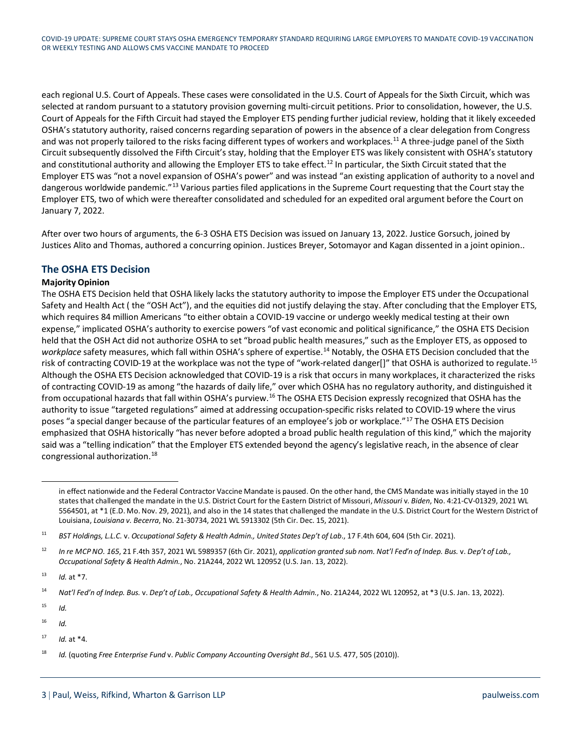each regional U.S. Court of Appeals. These cases were consolidated in the U.S. Court of Appeals for the Sixth Circuit, which was selected at random pursuant to a statutory provision governing multi-circuit petitions. Prior to consolidation, however, the U.S. Court of Appeals for the Fifth Circuit had stayed the Employer ETS pending further judicial review, holding that it likely exceeded OSHA's statutory authority, raised concerns regarding separation of powers in the absence of a clear delegation from Congress and was not properly tailored to the risks facing different types of workers and workplaces.<sup>[11](#page-2-0)</sup> A three-judge panel of the Sixth Circuit subsequently dissolved the Fifth Circuit's stay, holding that the Employer ETS was likely consistent with OSHA's statutory and constitutional authority and allowing the Employer ETS to take effect.<sup>[12](#page-2-1)</sup> In particular, the Sixth Circuit stated that the Employer ETS was "not a novel expansion of OSHA's power" and was instead "an existing application of authority to a novel and dangerous worldwide pandemic."<sup>[13](#page-2-2)</sup> Various parties filed applications in the Supreme Court requesting that the Court stay the Employer ETS, two of which were thereafter consolidated and scheduled for an expedited oral argument before the Court on January 7, 2022.

After over two hours of arguments, the 6-3 OSHA ETS Decision was issued on January 13, 2022. Justice Gorsuch, joined by Justices Alito and Thomas, authored a concurring opinion. Justices Breyer, Sotomayor and Kagan dissented in a joint opinion..

## **The OSHA ETS Decision**

#### **Majority Opinion**

The OSHA ETS Decision held that OSHA likely lacks the statutory authority to impose the Employer ETS under the Occupational Safety and Health Act ( the "OSH Act"), and the equities did not justify delaying the stay. After concluding that the Employer ETS, which requires 84 million Americans "to either obtain a COVID-19 vaccine or undergo weekly medical testing at their own expense," implicated OSHA's authority to exercise powers "of vast economic and political significance," the OSHA ETS Decision held that the OSH Act did not authorize OSHA to set "broad public health measures," such as the Employer ETS, as opposed to *workplace* safety measures, which fall within OSHA's sphere of expertise.[14](#page-2-3) Notably, the OSHA ETS Decision concluded that the risk of contracting COVID-19 at the workplace was not the type of "work-related danger[]" that OSHA is authorized to regulate.<sup>[15](#page-2-4)</sup> Although the OSHA ETS Decision acknowledged that COVID-19 is a risk that occurs in many workplaces, it characterized the risks of contracting COVID-19 as among "the hazards of daily life," over which OSHA has no regulatory authority, and distinguished it from occupational hazards that fall within OSHA's purview.<sup>[16](#page-2-5)</sup> The OSHA ETS Decision expressly recognized that OSHA has the authority to issue "targeted regulations" aimed at addressing occupation-specific risks related to COVID-19 where the virus poses "a special danger because of the particular features of an employee's job or workplace."[17](#page-2-6) The OSHA ETS Decision emphasized that OSHA historically "has never before adopted a broad public health regulation of this kind," which the majority said was a "telling indication" that the Employer ETS extended beyond the agency's legislative reach, in the absence of clear congressional authorization[.18](#page-2-7)

<span id="page-2-4"></span> $15$  *Id.* 

<span id="page-2-6"></span><sup>17</sup> *Id.* at \*4.

in effect nationwide and the Federal Contractor Vaccine Mandate is paused. On the other hand, the CMS Mandate was initially stayed in the 10 states that challenged the mandate in the U.S. District Court for the Eastern District of Missouri, *Missouri* v. *Biden*, No. 4:21-CV-01329, 2021 WL 5564501, at \*1 (E.D. Mo. Nov. 29, 2021), and also in the 14 states that challenged the mandate in the U.S. District Court for the Western District of Louisiana, *Louisiana v. Becerra*, No. 21-30734, 2021 WL 5913302 (5th Cir. Dec. 15, 2021).

<span id="page-2-0"></span><sup>&</sup>lt;sup>11</sup> BST Holdings, L.L.C. v. Occupational Safety & Health Admin., United States Dep't of Lab., 17 F.4th 604, 604 (5th Cir. 2021).

<span id="page-2-1"></span><sup>12</sup> *In re MCP NO. 165*, 21 F.4th 357, 2021 WL 5989357 (6th Cir. 2021), *application granted sub nom. Nat'l Fed'n of Indep. Bus.* v. *Dep't of Lab., Occupational Safety & Health Admin.*, No. 21A244, 2022 WL 120952 (U.S. Jan. 13, 2022).

<span id="page-2-2"></span><sup>13</sup> *Id.* at \*7.

<span id="page-2-3"></span><sup>14</sup> *Nat'l Fed'n of Indep. Bus.* v. *Dep't of Lab., Occupational Safety & Health Admin.*, No. 21A244, 2022 WL 120952, at \*3 (U.S. Jan. 13, 2022).

<span id="page-2-5"></span> $16$  *Id.* 

<span id="page-2-7"></span><sup>18</sup> *Id.* (quoting *Free Enterprise Fund* v. *Public Company Accounting Oversight Bd*., 561 U.S. 477, 505 (2010)).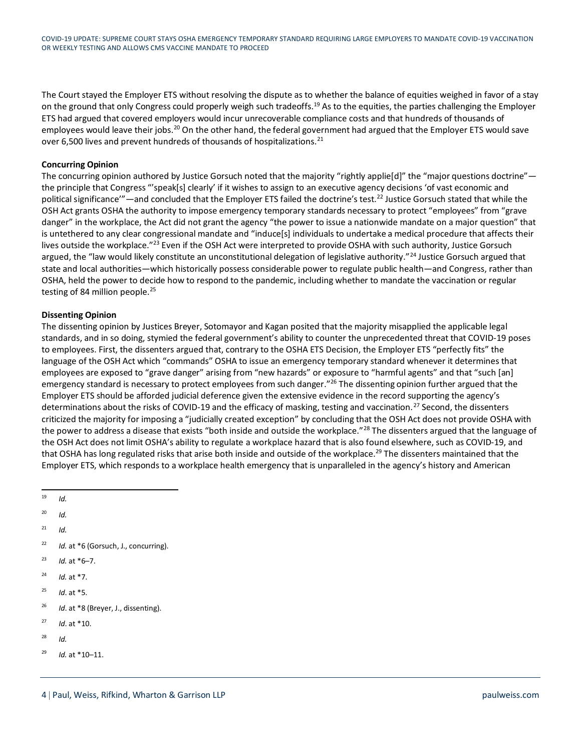The Court stayed the Employer ETS without resolving the dispute as to whether the balance of equities weighed in favor of a stay on the ground that only Congress could properly weigh such tradeoffs.<sup>[19](#page-3-0)</sup> As to the equities, the parties challenging the Employer ETS had argued that covered employers would incur unrecoverable compliance costs and that hundreds of thousands of employees would leave their jobs.<sup>[20](#page-3-1)</sup> On the other hand, the federal government had argued that the Employer ETS would save over 6,500 lives and prevent hundreds of thousands of hospitalizations.<sup>21</sup>

#### **Concurring Opinion**

The concurring opinion authored by Justice Gorsuch noted that the majority "rightly applie[d]" the "major questions doctrine" the principle that Congress "'speak[s] clearly' if it wishes to assign to an executive agency decisions 'of vast economic and political significance"—and concluded that the Employer ETS failed the doctrine's test.<sup>22</sup> Justice Gorsuch stated that while the OSH Act grants OSHA the authority to impose emergency temporary standards necessary to protect "employees" from "grave danger" in the workplace, the Act did not grant the agency "the power to issue a nationwide mandate on a major question" that is untethered to any clear congressional mandate and "induce[s] individuals to undertake a medical procedure that affects their lives outside the workplace."[23](#page-3-4) Even if the OSH Act were interpreted to provide OSHA with such authority, Justice Gorsuch argued, the "law would likely constitute an unconstitutional delegation of legislative authority."<sup>[24](#page-3-5)</sup> Justice Gorsuch argued that state and local authorities—which historically possess considerable power to regulate public health—and Congress, rather than OSHA, held the power to decide how to respond to the pandemic, including whether to mandate the vaccination or regular testing of 84 million people.<sup>25</sup>

#### **Dissenting Opinion**

The dissenting opinion by Justices Breyer, Sotomayor and Kagan posited that the majority misapplied the applicable legal standards, and in so doing, stymied the federal government's ability to counter the unprecedented threat that COVID-19 poses to employees. First, the dissenters argued that, contrary to the OSHA ETS Decision, the Employer ETS "perfectly fits" the language of the OSH Act which "commands" OSHA to issue an emergency temporary standard whenever it determines that employees are exposed to "grave danger" arising from "new hazards" or exposure to "harmful agents" and that "such [an] emergency standard is necessary to protect employees from such danger."<sup>26</sup> The dissenting opinion further argued that the Employer ETS should be afforded judicial deference given the extensive evidence in the record supporting the agency's determinations about the risks of COVID-19 and the efficacy of masking, testing and vaccination.<sup>[27](#page-3-8)</sup> Second, the dissenters criticized the majority for imposing a "judicially created exception" by concluding that the OSH Act does not provide OSHA with the power to address a disease that exists "both inside and outside the workplace."<sup>[28](#page-3-9)</sup> The dissenters argued that the language of the OSH Act does not limit OSHA's ability to regulate a workplace hazard that is also found elsewhere, such as COVID-19, and that OSHA has long regulated risks that arise both inside and outside of the workplace.<sup>[29](#page-3-10)</sup> The dissenters maintained that the Employer ETS, which responds to a workplace health emergency that is unparalleled in the agency's history and American

<span id="page-3-0"></span><sup>19</sup> *Id.*

<span id="page-3-1"></span> $^{20}$  *Id.* 

<span id="page-3-2"></span> $^{21}$  *Id.* 

- <span id="page-3-3"></span><sup>22</sup> *Id.* at \*6 (Gorsuch, J., concurring).
- <span id="page-3-4"></span> $^{23}$  *Id.* at  $*6-7$ .
- <span id="page-3-5"></span><sup>24</sup> *Id.* at \*7.
- <span id="page-3-6"></span><sup>25</sup> *Id*. at \*5.
- <span id="page-3-7"></span><sup>26</sup> *Id*. at \*8 (Breyer, J., dissenting).
- <span id="page-3-8"></span><sup>27</sup> *Id*. at \*10.
- <span id="page-3-9"></span><sup>28</sup> *Id.*
- <span id="page-3-10"></span><sup>29</sup> *Id.* at \*10–11.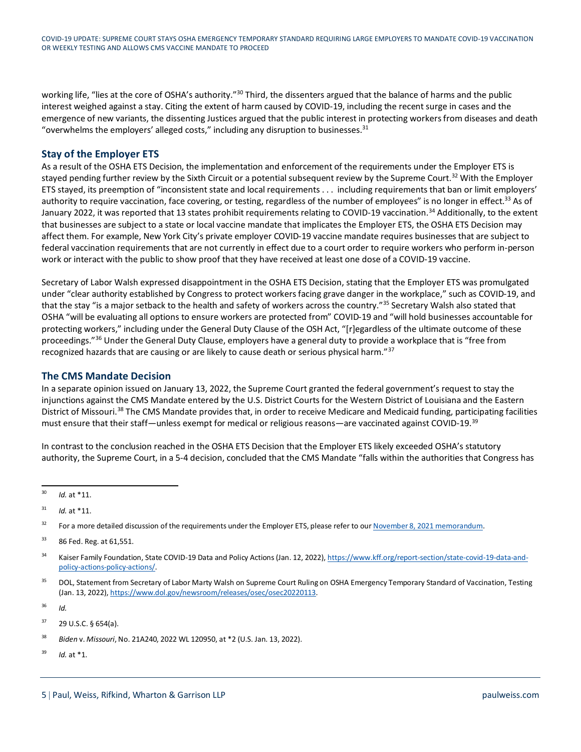working life, "lies at the core of OSHA's authority."<sup>[30](#page-4-0)</sup> Third, the dissenters argued that the balance of harms and the public interest weighed against a stay. Citing the extent of harm caused by COVID-19, including the recent surge in cases and the emergence of new variants, the dissenting Justices argued that the public interest in protecting workers from diseases and death "overwhelms the employers' alleged costs," including any disruption to businesses. $31$ 

# **Stay of the Employer ETS**

As a result of the OSHA ETS Decision, the implementation and enforcement of the requirements under the Employer ETS is stayed pending further review by the Sixth Circuit or a potential subsequent review by the Supreme Court.<sup>[32](#page-4-2)</sup> With the Employer ETS stayed, its preemption of "inconsistent state and local requirements . . . including requirements that ban or limit employers' authority to require vaccination, face covering, or testing, regardless of the number of employees" is no longer in effect.<sup>33</sup> As of January 2022, it was reported that 13 states prohibit requirements relating to COVID-19 vaccination.<sup>[34](#page-4-4)</sup> Additionally, to the extent that businesses are subject to a state or local vaccine mandate that implicates the Employer ETS, the OSHA ETS Decision may affect them. For example, New York City's private employer COVID-19 vaccine mandate requires businesses that are subject to federal vaccination requirements that are not currently in effect due to a court order to require workers who perform in-person work or interact with the public to show proof that they have received at least one dose of a COVID-19 vaccine.

Secretary of Labor Walsh expressed disappointment in the OSHA ETS Decision, stating that the Employer ETS was promulgated under "clear authority established by Congress to protect workers facing grave danger in the workplace," such as COVID-19, and that the stay "is a major setback to the health and safety of workers across the country."[35](#page-4-5) Secretary Walsh also stated that OSHA "will be evaluating all options to ensure workers are protected from" COVID-19 and "will hold businesses accountable for protecting workers," including under the General Duty Clause of the OSH Act, "[r]egardless of the ultimate outcome of these proceedings."<sup>[36](#page-4-6)</sup> Under the General Duty Clause, employers have a general duty to provide a workplace that is "free from recognized hazards that are causing or are likely to cause death or serious physical harm."[37](#page-4-7)

#### **The CMS Mandate Decision**

In a separate opinion issued on January 13, 2022, the Supreme Court granted the federal government's request to stay the injunctions against the CMS Mandate entered by the U.S. District Courts for the Western District of Louisiana and the Eastern District of Missouri.<sup>[38](#page-4-8)</sup> The CMS Mandate provides that, in order to receive Medicare and Medicaid funding, participating facilities must ensure that their staff—unless exempt for medical or religious reasons—are vaccinated against COVID-19.[39](#page-4-9)

In contrast to the conclusion reached in the OSHA ETS Decision that the Employer ETS likely exceeded OSHA's statutory authority, the Supreme Court, in a 5-4 decision, concluded that the CMS Mandate "falls within the authorities that Congress has

<span id="page-4-0"></span><sup>30</sup> *Id.* at \*11.

<span id="page-4-3"></span><sup>33</sup> 86 Fed. Reg. at 61,551.

- <span id="page-4-5"></span><sup>35</sup> DOL, Statement from Secretary of Labor Marty Walsh on Supreme Court Ruling on OSHA Emergency Temporary Standard of Vaccination, Testing (Jan. 13, 2022)[, https://www.dol.gov/newsroom/releases/osec/osec20220113.](https://www.dol.gov/newsroom/releases/osec/osec20220113)
- <span id="page-4-6"></span><sup>36</sup> *Id.*

<span id="page-4-9"></span><sup>39</sup> *Id.* at \*1.

<span id="page-4-1"></span> $31$  *Id.* at \*11.

<span id="page-4-2"></span><sup>&</sup>lt;sup>32</sup> For a more detailed discussion of the requirements under the Employer ETS, please refer to ou[r November 8, 2021 memorandum.](https://www.paulweiss.com/practices/litigation/employment/publications/covid-19-update-osha-issues-emergency-temporary-standard-requiring-employers-with-100plus-employees-to-mandate-covid-19-vaccination-or-weekly-testing?id=41654)

<span id="page-4-4"></span><sup>34</sup> Kaiser Family Foundation, State COVID-19 Data and Policy Actions (Jan. 12, 2022)[, https://www.kff.org/report-section/state-covid-19-data-and](https://www.kff.org/report-section/state-covid-19-data-and-policy-actions-policy-actions/)[policy-actions-policy-actions/.](https://www.kff.org/report-section/state-covid-19-data-and-policy-actions-policy-actions/)

<span id="page-4-7"></span> $37$  29 U.S.C. § 654(a).

<span id="page-4-8"></span><sup>38</sup> *Biden* v. *Missouri*, No. 21A240, 2022 WL 120950, at \*2 (U.S. Jan. 13, 2022).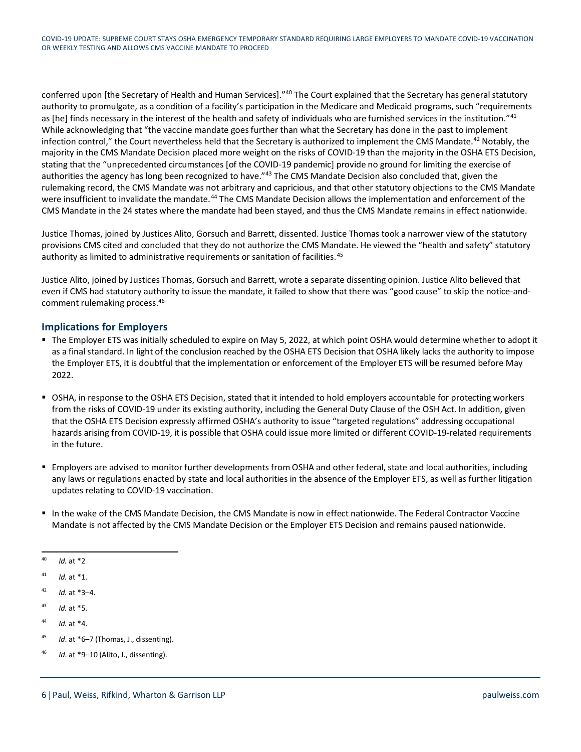conferred upon [the Secretary of Health and Human Services]."<sup>40</sup> The Court explained that the Secretary has general statutory authority to promulgate, as a condition of a facility's participation in the Medicare and Medicaid programs, such "requirements as [he] finds necessary in the interest of the health and safety of individuals who are furnished services in the institution."<sup>[41](#page-5-1)</sup> While acknowledging that "the vaccine mandate goes further than what the Secretary has done in the past to implement infection control," the Court nevertheless held that the Secretary is authorized to implement the CMS Mandate.<sup>[42](#page-5-2)</sup> Notably, the majority in the CMS Mandate Decision placed more weight on the risks of COVID-19 than the majority in the OSHA ETS Decision, stating that the "unprecedented circumstances [of the COVID-19 pandemic] provide no ground for limiting the exercise of authorities the agency has long been recognized to have."<sup>[43](#page-5-3)</sup> The CMS Mandate Decision also concluded that, given the rulemaking record, the CMS Mandate was not arbitrary and capricious, and that other statutory objections to the CMS Mandate were insufficient to invalidate the mandate.<sup>[44](#page-5-4)</sup> The CMS Mandate Decision allows the implementation and enforcement of the CMS Mandate in the 24 states where the mandate had been stayed, and thus the CMS Mandate remains in effect nationwide.

Justice Thomas, joined by Justices Alito, Gorsuch and Barrett, dissented. Justice Thomas took a narrower view of the statutory provisions CMS cited and concluded that they do not authorize the CMS Mandate. He viewed the "health and safety" statutory authority as limited to administrative requirements or sanitation of facilities.<sup>[45](#page-5-5)</sup>

Justice Alito, joined by Justices Thomas, Gorsuch and Barrett, wrote a separate dissenting opinion. Justice Alito believed that even if CMS had statutory authority to issue the mandate, it failed to show that there was "good cause" to skip the notice-andcomment rulemaking process[.46](#page-5-6) 

#### **Implications for Employers**

- The Employer ETS was initially scheduled to expire on May 5, 2022, at which point OSHA would determine whether to adopt it as a final standard. In light of the conclusion reached by the OSHA ETS Decision that OSHA likely lacks the authority to impose the Employer ETS, it is doubtful that the implementation or enforcement of the Employer ETS will be resumed before May 2022.
- OSHA, in response to the OSHA ETS Decision, stated that it intended to hold employers accountable for protecting workers from the risks of COVID-19 under its existing authority, including the General Duty Clause of the OSH Act. In addition, given that the OSHA ETS Decision expressly affirmed OSHA's authority to issue "targeted regulations" addressing occupational hazards arising from COVID-19, it is possible that OSHA could issue more limited or different COVID-19-related requirements in the future.
- Employers are advised to monitor further developments from OSHA and other federal, state and local authorities, including any laws or regulations enacted by state and local authorities in the absence of the Employer ETS, as well as further litigation updates relating to COVID-19 vaccination.
- In the wake of the CMS Mandate Decision, the CMS Mandate is now in effect nationwide. The Federal Contractor Vaccine Mandate is not affected by the CMS Mandate Decision or the Employer ETS Decision and remains paused nationwide.

- <span id="page-5-3"></span><sup>43</sup> *Id.* at \*5.
- <span id="page-5-4"></span><sup>44</sup> *Id.* at \*4.
- <span id="page-5-5"></span><sup>45</sup> *Id*. at \*6–7 (Thomas, J., dissenting).
- <span id="page-5-6"></span><sup>46</sup> *Id*. at \*9–10 (Alito, J., dissenting).

<span id="page-5-0"></span><sup>40</sup> *Id.* at \*2

<span id="page-5-1"></span><sup>41</sup> *Id.* at \*1.

<span id="page-5-2"></span><sup>42</sup> *Id.* at \*3–4.